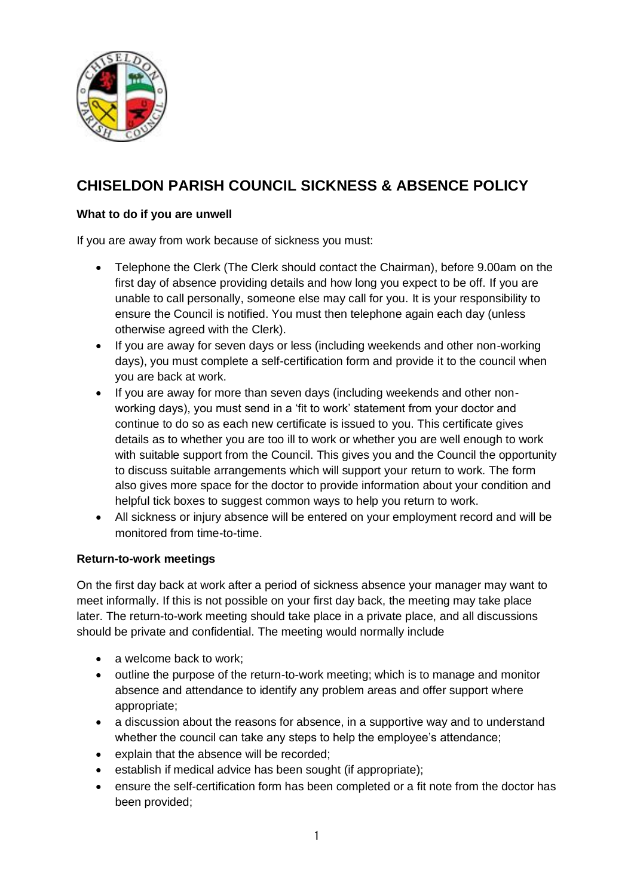

# **CHISELDON PARISH COUNCIL SICKNESS & ABSENCE POLICY**

## **What to do if you are unwell**

If you are away from work because of sickness you must:

- Telephone the Clerk (The Clerk should contact the Chairman), before 9.00am on the first day of absence providing details and how long you expect to be off. If you are unable to call personally, someone else may call for you. It is your responsibility to ensure the Council is notified. You must then telephone again each day (unless otherwise agreed with the Clerk).
- If you are away for seven days or less (including weekends and other non-working days), you must complete a self-certification form and provide it to the council when you are back at work.
- If you are away for more than seven days (including weekends and other nonworking days), you must send in a 'fit to work' statement from your doctor and continue to do so as each new certificate is issued to you. This certificate gives details as to whether you are too ill to work or whether you are well enough to work with suitable support from the Council. This gives you and the Council the opportunity to discuss suitable arrangements which will support your return to work. The form also gives more space for the doctor to provide information about your condition and helpful tick boxes to suggest common ways to help you return to work.
- All sickness or injury absence will be entered on your employment record and will be monitored from time-to-time.

#### **Return-to-work meetings**

On the first day back at work after a period of sickness absence your manager may want to meet informally. If this is not possible on your first day back, the meeting may take place later. The return-to-work meeting should take place in a private place, and all discussions should be private and confidential. The meeting would normally include

- a welcome back to work:
- outline the purpose of the return-to-work meeting; which is to manage and monitor absence and attendance to identify any problem areas and offer support where appropriate;
- a discussion about the reasons for absence, in a supportive way and to understand whether the council can take any steps to help the employee's attendance;
- explain that the absence will be recorded;
- establish if medical advice has been sought (if appropriate);
- ensure the self-certification form has been completed or a fit note from the doctor has been provided;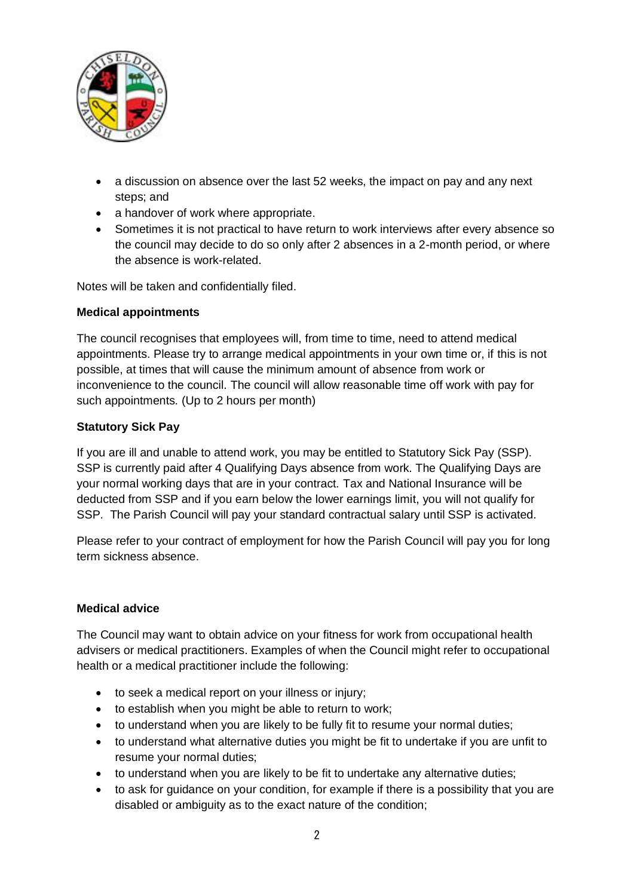

- a discussion on absence over the last 52 weeks, the impact on pay and any next steps; and
- a handover of work where appropriate.
- Sometimes it is not practical to have return to work interviews after every absence so the council may decide to do so only after 2 absences in a 2-month period, or where the absence is work-related.

Notes will be taken and confidentially filed.

## **Medical appointments**

The council recognises that employees will, from time to time, need to attend medical appointments. Please try to arrange medical appointments in your own time or, if this is not possible, at times that will cause the minimum amount of absence from work or inconvenience to the council. The council will allow reasonable time off work with pay for such appointments. (Up to 2 hours per month)

## **Statutory Sick Pay**

If you are ill and unable to attend work, you may be entitled to Statutory Sick Pay (SSP). SSP is currently paid after 4 Qualifying Days absence from work. The Qualifying Days are your normal working days that are in your contract. Tax and National Insurance will be deducted from SSP and if you earn below the lower earnings limit, you will not qualify for SSP. The Parish Council will pay your standard contractual salary until SSP is activated.

Please refer to your contract of employment for how the Parish Council will pay you for long term sickness absence.

#### **Medical advice**

The Council may want to obtain advice on your fitness for work from occupational health advisers or medical practitioners. Examples of when the Council might refer to occupational health or a medical practitioner include the following:

- to seek a medical report on your illness or injury;
- to establish when you might be able to return to work;
- to understand when you are likely to be fully fit to resume your normal duties;
- to understand what alternative duties you might be fit to undertake if you are unfit to resume your normal duties;
- to understand when you are likely to be fit to undertake any alternative duties;
- to ask for guidance on your condition, for example if there is a possibility that you are disabled or ambiguity as to the exact nature of the condition;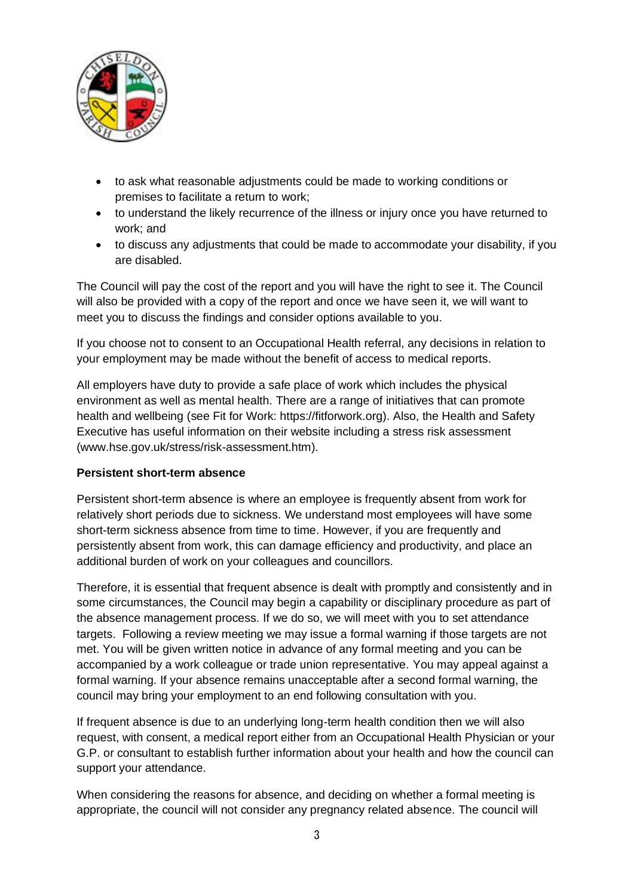

- to ask what reasonable adjustments could be made to working conditions or premises to facilitate a return to work;
- to understand the likely recurrence of the illness or injury once you have returned to work; and
- to discuss any adjustments that could be made to accommodate your disability, if you are disabled.

The Council will pay the cost of the report and you will have the right to see it. The Council will also be provided with a copy of the report and once we have seen it, we will want to meet you to discuss the findings and consider options available to you.

If you choose not to consent to an Occupational Health referral, any decisions in relation to your employment may be made without the benefit of access to medical reports.

All employers have duty to provide a safe place of work which includes the physical environment as well as mental health. There are a range of initiatives that can promote health and wellbeing (see Fit for Work: https://fitforwork.org). Also, the Health and Safety Executive has useful information on their website including a stress risk assessment (www.hse.gov.uk/stress/risk-assessment.htm).

## **Persistent short-term absence**

Persistent short-term absence is where an employee is frequently absent from work for relatively short periods due to sickness. We understand most employees will have some short-term sickness absence from time to time. However, if you are frequently and persistently absent from work, this can damage efficiency and productivity, and place an additional burden of work on your colleagues and councillors.

Therefore, it is essential that frequent absence is dealt with promptly and consistently and in some circumstances, the Council may begin a capability or disciplinary procedure as part of the absence management process. If we do so, we will meet with you to set attendance targets. Following a review meeting we may issue a formal warning if those targets are not met. You will be given written notice in advance of any formal meeting and you can be accompanied by a work colleague or trade union representative. You may appeal against a formal warning. If your absence remains unacceptable after a second formal warning, the council may bring your employment to an end following consultation with you.

If frequent absence is due to an underlying long-term health condition then we will also request, with consent, a medical report either from an Occupational Health Physician or your G.P. or consultant to establish further information about your health and how the council can support your attendance.

When considering the reasons for absence, and deciding on whether a formal meeting is appropriate, the council will not consider any pregnancy related absence. The council will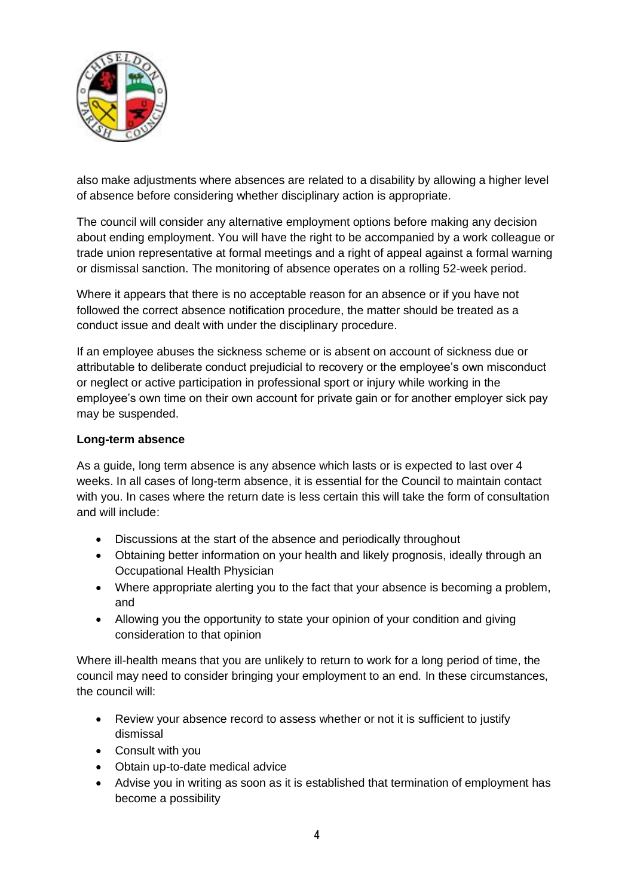

also make adjustments where absences are related to a disability by allowing a higher level of absence before considering whether disciplinary action is appropriate.

The council will consider any alternative employment options before making any decision about ending employment. You will have the right to be accompanied by a work colleague or trade union representative at formal meetings and a right of appeal against a formal warning or dismissal sanction. The monitoring of absence operates on a rolling 52-week period.

Where it appears that there is no acceptable reason for an absence or if you have not followed the correct absence notification procedure, the matter should be treated as a conduct issue and dealt with under the disciplinary procedure.

If an employee abuses the sickness scheme or is absent on account of sickness due or attributable to deliberate conduct prejudicial to recovery or the employee's own misconduct or neglect or active participation in professional sport or injury while working in the employee's own time on their own account for private gain or for another employer sick pay may be suspended.

## **Long-term absence**

As a guide, long term absence is any absence which lasts or is expected to last over 4 weeks. In all cases of long-term absence, it is essential for the Council to maintain contact with you. In cases where the return date is less certain this will take the form of consultation and will include:

- Discussions at the start of the absence and periodically throughout
- Obtaining better information on your health and likely prognosis, ideally through an Occupational Health Physician
- Where appropriate alerting you to the fact that your absence is becoming a problem, and
- Allowing you the opportunity to state your opinion of your condition and giving consideration to that opinion

Where ill-health means that you are unlikely to return to work for a long period of time, the council may need to consider bringing your employment to an end. In these circumstances, the council will:

- Review your absence record to assess whether or not it is sufficient to justify dismissal
- Consult with you
- Obtain up-to-date medical advice
- Advise you in writing as soon as it is established that termination of employment has become a possibility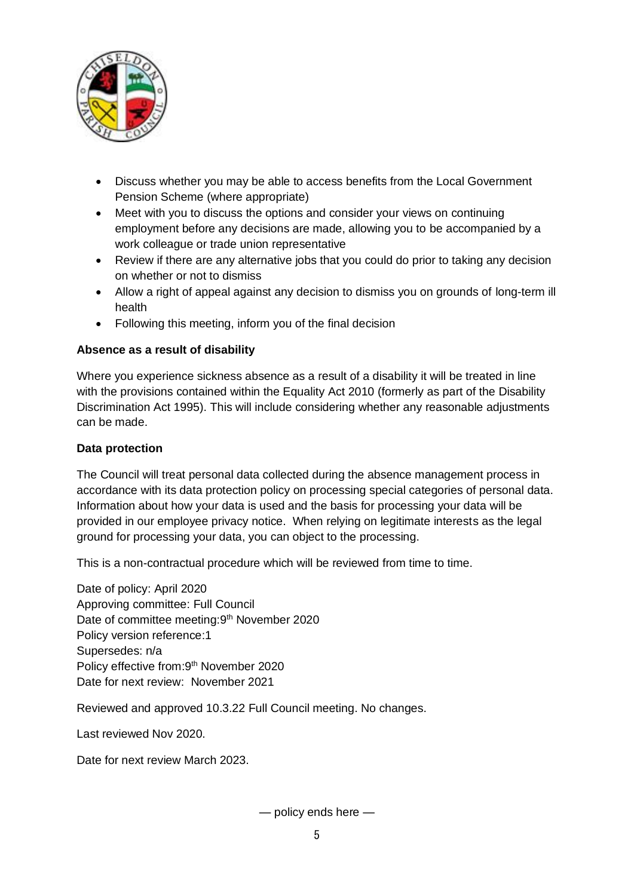

- Discuss whether you may be able to access benefits from the Local Government Pension Scheme (where appropriate)
- Meet with you to discuss the options and consider your views on continuing employment before any decisions are made, allowing you to be accompanied by a work colleague or trade union representative
- Review if there are any alternative jobs that you could do prior to taking any decision on whether or not to dismiss
- Allow a right of appeal against any decision to dismiss you on grounds of long-term ill health
- Following this meeting, inform you of the final decision

# **Absence as a result of disability**

Where you experience sickness absence as a result of a disability it will be treated in line with the provisions contained within the Equality Act 2010 (formerly as part of the Disability Discrimination Act 1995). This will include considering whether any reasonable adjustments can be made.

## **Data protection**

The Council will treat personal data collected during the absence management process in accordance with its data protection policy on processing special categories of personal data. Information about how your data is used and the basis for processing your data will be provided in our employee privacy notice. When relying on legitimate interests as the legal ground for processing your data, you can object to the processing.

This is a non-contractual procedure which will be reviewed from time to time.

Date of policy: April 2020 Approving committee: Full Council Date of committee meeting: 9<sup>th</sup> November 2020 Policy version reference:1 Supersedes: n/a Policy effective from: 9<sup>th</sup> November 2020 Date for next review: November 2021

Reviewed and approved 10.3.22 Full Council meeting. No changes.

Last reviewed Nov 2020.

Date for next review March 2023.

— policy ends here —